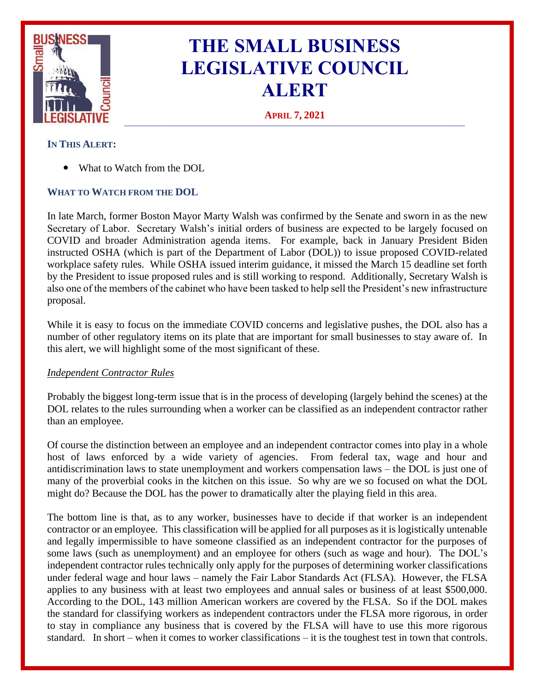

# **THE SMALL BUSINESS LEGISLATIVE COUNCIL ALERT**

**APRIL 7, 2021 \_\_\_\_\_\_\_\_\_\_\_\_\_\_\_\_\_\_\_\_\_\_\_\_\_\_\_\_\_\_\_\_\_\_\_\_\_\_\_\_\_\_\_\_\_\_\_\_\_\_\_\_\_\_\_\_\_\_\_\_\_\_\_\_\_\_\_\_\_\_\_\_\_\_\_\_\_\_\_\_\_\_\_\_\_\_\_\_\_\_\_\_\_\_\_\_\_\_\_\_\_\_\_\_\_\_\_\_\_\_\_\_\_\_\_\_\_\_\_\_\_\_\_\_\_\_\_\_\_\_**

# **IN THIS ALERT:**

What to Watch from the DOL

# **WHAT TO WATCH FROM THE DOL**

In late March, former Boston Mayor Marty Walsh was confirmed by the Senate and sworn in as the new Secretary of Labor. Secretary Walsh's initial orders of business are expected to be largely focused on COVID and broader Administration agenda items. For example, back in January President Biden instructed OSHA (which is part of the Department of Labor (DOL)) to issue proposed COVID-related workplace safety rules. While OSHA issued interim guidance, it missed the March 15 deadline set forth by the President to issue proposed rules and is still working to respond. Additionally, Secretary Walsh is also one of the members of the cabinet who have been tasked to help sell the President's new infrastructure proposal.

While it is easy to focus on the immediate COVID concerns and legislative pushes, the DOL also has a number of other regulatory items on its plate that are important for small businesses to stay aware of. In this alert, we will highlight some of the most significant of these.

### *Independent Contractor Rules*

Probably the biggest long-term issue that is in the process of developing (largely behind the scenes) at the DOL relates to the rules surrounding when a worker can be classified as an independent contractor rather than an employee.

Of course the distinction between an employee and an independent contractor comes into play in a whole host of laws enforced by a wide variety of agencies. From federal tax, wage and hour and antidiscrimination laws to state unemployment and workers compensation laws – the DOL is just one of many of the proverbial cooks in the kitchen on this issue. So why are we so focused on what the DOL might do? Because the DOL has the power to dramatically alter the playing field in this area.

The bottom line is that, as to any worker, businesses have to decide if that worker is an independent contractor or an employee. This classification will be applied for all purposes as it is logistically untenable and legally impermissible to have someone classified as an independent contractor for the purposes of some laws (such as unemployment) and an employee for others (such as wage and hour). The DOL's independent contractor rules technically only apply for the purposes of determining worker classifications under federal wage and hour laws – namely the Fair Labor Standards Act (FLSA). However, the FLSA applies to any business with at least two employees and annual sales or business of at least \$500,000. According to the DOL, 143 million American workers are covered by the FLSA. So if the DOL makes the standard for classifying workers as independent contractors under the FLSA more rigorous, in order to stay in compliance any business that is covered by the FLSA will have to use this more rigorous standard. In short – when it comes to worker classifications – it is the toughest test in town that controls.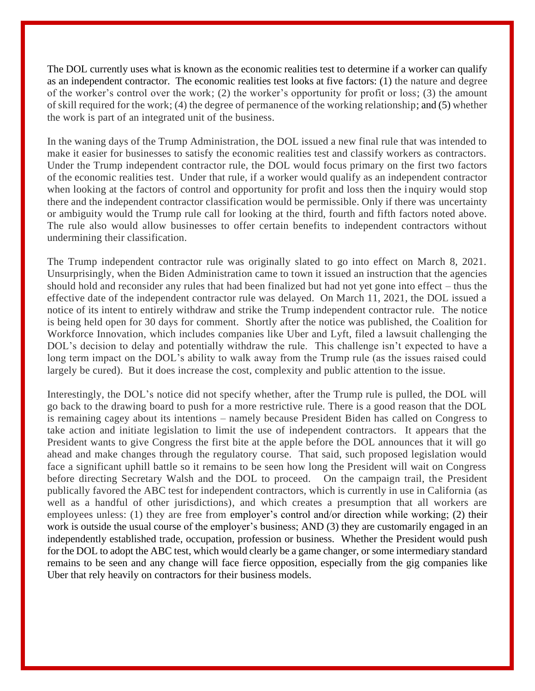The DOL currently uses what is known as the economic realities test to determine if a worker can qualify as an independent contractor. The economic realities test looks at five factors: (1) the nature and degree of the worker's control over the work; (2) the worker's opportunity for profit or loss; (3) the amount of skill required for the work; (4) the degree of permanence of the working relationship; and (5) whether the work is part of an integrated unit of the business.

In the waning days of the Trump Administration, the DOL issued a new final rule that was intended to make it easier for businesses to satisfy the economic realities test and classify workers as contractors. Under the Trump independent contractor rule, the DOL would focus primary on the first two factors of the economic realities test. Under that rule, if a worker would qualify as an independent contractor when looking at the factors of control and opportunity for profit and loss then the inquiry would stop there and the independent contractor classification would be permissible. Only if there was uncertainty or ambiguity would the Trump rule call for looking at the third, fourth and fifth factors noted above. The rule also would allow businesses to offer certain benefits to independent contractors without undermining their classification.

The Trump independent contractor rule was originally slated to go into effect on March 8, 2021. Unsurprisingly, when the Biden Administration came to town it issued an instruction that the agencies should hold and reconsider any rules that had been finalized but had not yet gone into effect – thus the effective date of the independent contractor rule was delayed. On March 11, 2021, the DOL issued a notice of its intent to entirely withdraw and strike the Trump independent contractor rule. The notice is being held open for 30 days for comment. Shortly after the notice was published, the Coalition for Workforce Innovation, which includes companies like Uber and Lyft, filed a lawsuit challenging the DOL's decision to delay and potentially withdraw the rule. This challenge isn't expected to have a long term impact on the DOL's ability to walk away from the Trump rule (as the issues raised could largely be cured). But it does increase the cost, complexity and public attention to the issue.

Interestingly, the DOL's notice did not specify whether, after the Trump rule is pulled, the DOL will go back to the drawing board to push for a more restrictive rule. There is a good reason that the DOL is remaining cagey about its intentions – namely because President Biden has called on Congress to take action and initiate legislation to limit the use of independent contractors. It appears that the President wants to give Congress the first bite at the apple before the DOL announces that it will go ahead and make changes through the regulatory course. That said, such proposed legislation would face a significant uphill battle so it remains to be seen how long the President will wait on Congress before directing Secretary Walsh and the DOL to proceed. On the campaign trail, the President publically favored the ABC test for independent contractors, which is currently in use in California (as well as a handful of other jurisdictions), and which creates a presumption that all workers are employees unless: (1) they are free from employer's control and/or direction while working; (2) their work is outside the usual course of the employer's business; AND (3) they are customarily engaged in an independently established trade, occupation, profession or business. Whether the President would push for the DOL to adopt the ABC test, which would clearly be a game changer, or some intermediary standard remains to be seen and any change will face fierce opposition, especially from the gig companies like Uber that rely heavily on contractors for their business models.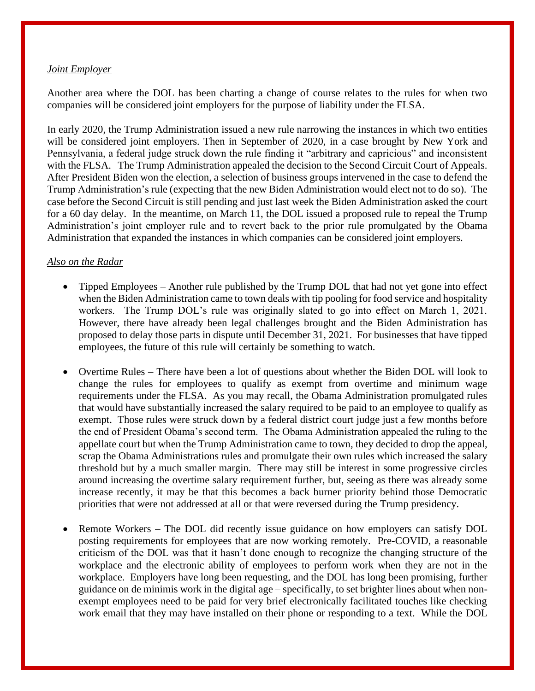#### *Joint Employer*

Another area where the DOL has been charting a change of course relates to the rules for when two companies will be considered joint employers for the purpose of liability under the FLSA.

In early 2020, the Trump Administration issued a new rule narrowing the instances in which two entities will be considered joint employers. Then in September of 2020, in a case brought by New York and Pennsylvania, a federal judge struck down the rule finding it "arbitrary and capricious" and inconsistent with the FLSA. The Trump Administration appealed the decision to the Second Circuit Court of Appeals. After President Biden won the election, a selection of business groups intervened in the case to defend the Trump Administration's rule (expecting that the new Biden Administration would elect not to do so). The case before the Second Circuit is still pending and just last week the Biden Administration asked the court for a 60 day delay. In the meantime, on March 11, the DOL issued a proposed rule to repeal the Trump Administration's joint employer rule and to revert back to the prior rule promulgated by the Obama Administration that expanded the instances in which companies can be considered joint employers.

#### *Also on the Radar*

- Tipped Employees Another rule published by the Trump DOL that had not yet gone into effect when the Biden Administration came to town deals with tip pooling for food service and hospitality workers. The Trump DOL's rule was originally slated to go into effect on March 1, 2021. However, there have already been legal challenges brought and the Biden Administration has proposed to delay those parts in dispute until December 31, 2021. For businesses that have tipped employees, the future of this rule will certainly be something to watch.
- Overtime Rules There have been a lot of questions about whether the Biden DOL will look to change the rules for employees to qualify as exempt from overtime and minimum wage requirements under the FLSA. As you may recall, the Obama Administration promulgated rules that would have substantially increased the salary required to be paid to an employee to qualify as exempt. Those rules were struck down by a federal district court judge just a few months before the end of President Obama's second term. The Obama Administration appealed the ruling to the appellate court but when the Trump Administration came to town, they decided to drop the appeal, scrap the Obama Administrations rules and promulgate their own rules which increased the salary threshold but by a much smaller margin. There may still be interest in some progressive circles around increasing the overtime salary requirement further, but, seeing as there was already some increase recently, it may be that this becomes a back burner priority behind those Democratic priorities that were not addressed at all or that were reversed during the Trump presidency.
- Remote Workers The DOL did recently issue guidance on how employers can satisfy DOL posting requirements for employees that are now working remotely. Pre-COVID, a reasonable criticism of the DOL was that it hasn't done enough to recognize the changing structure of the workplace and the electronic ability of employees to perform work when they are not in the workplace. Employers have long been requesting, and the DOL has long been promising, further guidance on de minimis work in the digital age – specifically, to set brighter lines about when nonexempt employees need to be paid for very brief electronically facilitated touches like checking work email that they may have installed on their phone or responding to a text. While the DOL